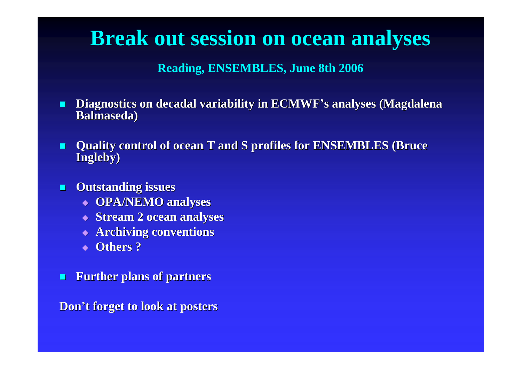## **Break out session on ocean analyses**

**Reading, ENSEMBLES, June 8th 2006**

- **Diagnostics on decadal variability in ECMWF's analyses (Magdalena Balmaseda)**
- **Quality control of ocean T and S profiles for ENSEMBLES (Bruce Ingleby)**
- **Outstanding issues**
	- **OPA/NEMO analyses**
	- **Stream 2 ocean analyses**
	- **Archiving conventions**
	- **Others ?**
- **Further plans of partners**

**Don't forget to look at posters**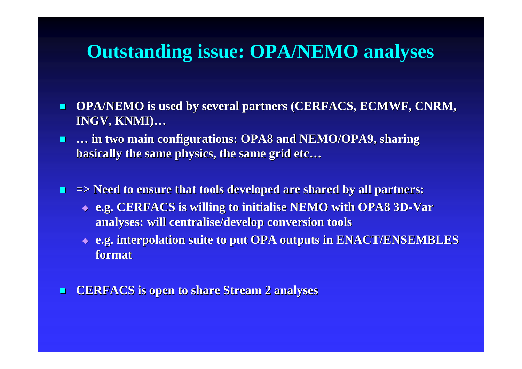#### **Outstanding issue: OPA/NEMO analyses**

- **OPA/NEMO is used by several partners (CERFACS, ECMWF, CNRM, INGV, KNMI)…**
- **… in two main configurations: OPA8 and NEMO/OPA9, sharing basically the same physics, the same grid etc…**
- **=> Need to ensure that tools developed are shared by all partners:**
	- **e.g. CERFACS is willing to initialise NEMO with OPA8 3D-Var analyses: will centralise/develop conversion tools**
	- **e.g. interpolation suite to put OPA outputs in ENACT/ENSEMBLES format**
- **EXACS** is open to share Stream 2 analyses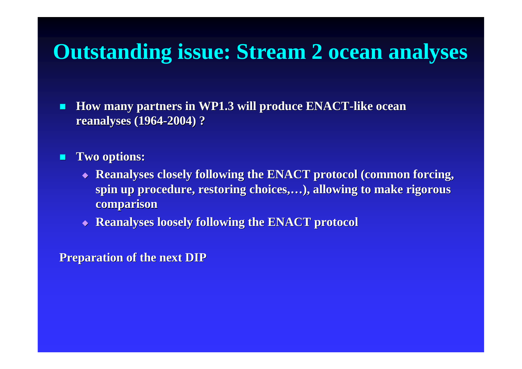## **Outstanding issue: Stream 2 ocean analyses**

- **How many partners in WP1.3 will produce ENACT-like ocean reanalyses (1964-2004) ?**
- **Two options:**
	- **Reanalyses closely following the ENACT protocol (common forcing, spin up procedure, restoring choices,…), allowing to make rigorous comparison**
	- **Reanalyses loosely following the ENACT protocol**

#### **Preparation of the next DIP**